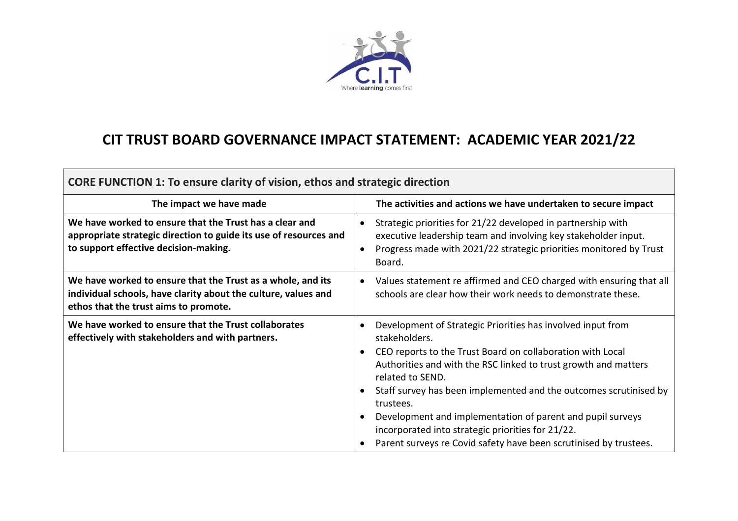

## **CIT TRUST BOARD GOVERNANCE IMPACT STATEMENT: ACADEMIC YEAR 2021/22**

| <b>CORE FUNCTION 1: To ensure clarity of vision, ethos and strategic direction</b>                                                                                     |                                                                                                                                                                                                                                                                                                                                                                                                                                                                                                                                                    |
|------------------------------------------------------------------------------------------------------------------------------------------------------------------------|----------------------------------------------------------------------------------------------------------------------------------------------------------------------------------------------------------------------------------------------------------------------------------------------------------------------------------------------------------------------------------------------------------------------------------------------------------------------------------------------------------------------------------------------------|
| The impact we have made                                                                                                                                                | The activities and actions we have undertaken to secure impact                                                                                                                                                                                                                                                                                                                                                                                                                                                                                     |
| We have worked to ensure that the Trust has a clear and<br>appropriate strategic direction to guide its use of resources and<br>to support effective decision-making.  | Strategic priorities for 21/22 developed in partnership with<br>$\bullet$<br>executive leadership team and involving key stakeholder input.<br>Progress made with 2021/22 strategic priorities monitored by Trust<br>$\bullet$<br>Board.                                                                                                                                                                                                                                                                                                           |
| We have worked to ensure that the Trust as a whole, and its<br>individual schools, have clarity about the culture, values and<br>ethos that the trust aims to promote. | Values statement re affirmed and CEO charged with ensuring that all<br>$\bullet$<br>schools are clear how their work needs to demonstrate these.                                                                                                                                                                                                                                                                                                                                                                                                   |
| We have worked to ensure that the Trust collaborates<br>effectively with stakeholders and with partners.                                                               | Development of Strategic Priorities has involved input from<br>$\bullet$<br>stakeholders.<br>CEO reports to the Trust Board on collaboration with Local<br>$\bullet$<br>Authorities and with the RSC linked to trust growth and matters<br>related to SEND.<br>Staff survey has been implemented and the outcomes scrutinised by<br>trustees.<br>Development and implementation of parent and pupil surveys<br>$\bullet$<br>incorporated into strategic priorities for 21/22.<br>Parent surveys re Covid safety have been scrutinised by trustees. |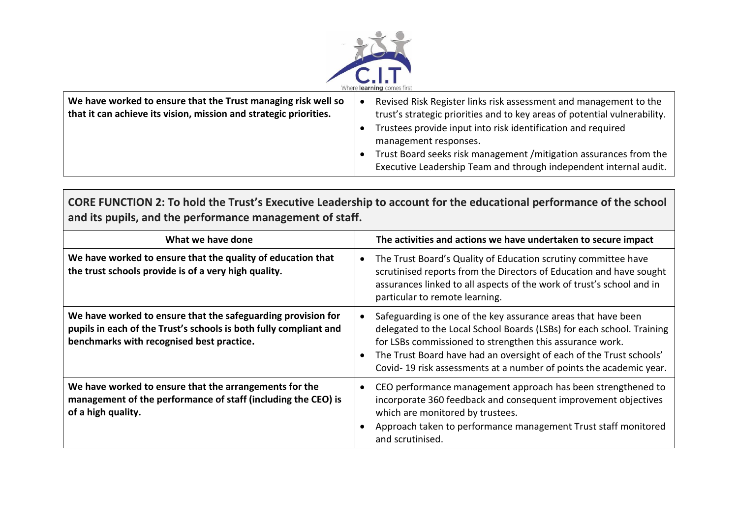

| We have worked to ensure that the Trust managing risk well so<br>that it can achieve its vision, mission and strategic priorities. | Revised Risk Register links risk assessment and management to the<br>trust's strategic priorities and to key areas of potential vulnerability. |
|------------------------------------------------------------------------------------------------------------------------------------|------------------------------------------------------------------------------------------------------------------------------------------------|
|                                                                                                                                    | Trustees provide input into risk identification and required<br>management responses.                                                          |
|                                                                                                                                    | Trust Board seeks risk management / mitigation assurances from the<br>Executive Leadership Team and through independent internal audit.        |

**CORE FUNCTION 2: To hold the Trust's Executive Leadership to account for the educational performance of the school and its pupils, and the performance management of staff.** 

| What we have done                                                                                                                                                              | The activities and actions we have undertaken to secure impact                                                                                                                                                                                                                                                                                                            |
|--------------------------------------------------------------------------------------------------------------------------------------------------------------------------------|---------------------------------------------------------------------------------------------------------------------------------------------------------------------------------------------------------------------------------------------------------------------------------------------------------------------------------------------------------------------------|
| We have worked to ensure that the quality of education that<br>the trust schools provide is of a very high quality.                                                            | The Trust Board's Quality of Education scrutiny committee have<br>$\bullet$<br>scrutinised reports from the Directors of Education and have sought<br>assurances linked to all aspects of the work of trust's school and in<br>particular to remote learning.                                                                                                             |
| We have worked to ensure that the safeguarding provision for<br>pupils in each of the Trust's schools is both fully compliant and<br>benchmarks with recognised best practice. | Safeguarding is one of the key assurance areas that have been<br>$\bullet$<br>delegated to the Local School Boards (LSBs) for each school. Training<br>for LSBs commissioned to strengthen this assurance work.<br>The Trust Board have had an oversight of each of the Trust schools'<br>$\bullet$<br>Covid-19 risk assessments at a number of points the academic year. |
| We have worked to ensure that the arrangements for the<br>management of the performance of staff (including the CEO) is<br>of a high quality.                                  | CEO performance management approach has been strengthened to<br>$\bullet$<br>incorporate 360 feedback and consequent improvement objectives<br>which are monitored by trustees.<br>Approach taken to performance management Trust staff monitored<br>and scrutinised.                                                                                                     |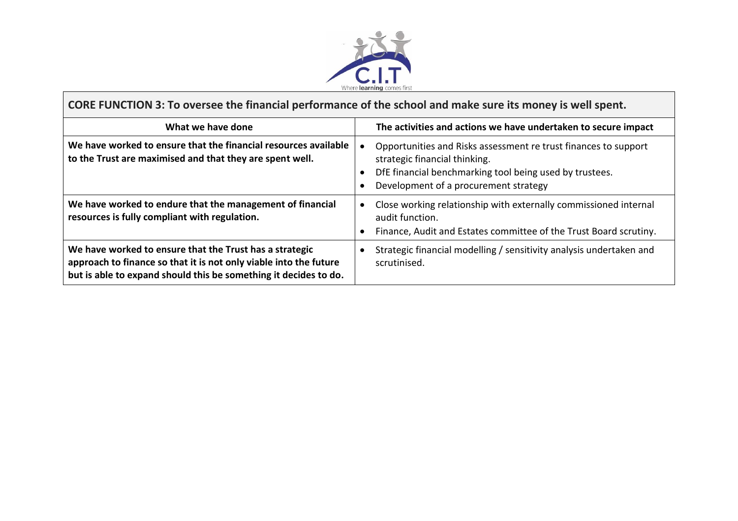

 $\overline{\phantom{a}}$ 

| CORE FUNCTION 3: To oversee the financial performance of the school and make sure its money is well spent.                                                                                       |                                                                                                                                                                                                                   |
|--------------------------------------------------------------------------------------------------------------------------------------------------------------------------------------------------|-------------------------------------------------------------------------------------------------------------------------------------------------------------------------------------------------------------------|
| What we have done                                                                                                                                                                                | The activities and actions we have undertaken to secure impact                                                                                                                                                    |
| We have worked to ensure that the financial resources available<br>to the Trust are maximised and that they are spent well.                                                                      | Opportunities and Risks assessment re trust finances to support<br>strategic financial thinking.<br>DfE financial benchmarking tool being used by trustees.<br>$\bullet$<br>Development of a procurement strategy |
| We have worked to endure that the management of financial<br>resources is fully compliant with regulation.                                                                                       | Close working relationship with externally commissioned internal<br>$\bullet$<br>audit function.<br>Finance, Audit and Estates committee of the Trust Board scrutiny.<br>$\bullet$                                |
| We have worked to ensure that the Trust has a strategic<br>approach to finance so that it is not only viable into the future<br>but is able to expand should this be something it decides to do. | Strategic financial modelling / sensitivity analysis undertaken and<br>scrutinised.                                                                                                                               |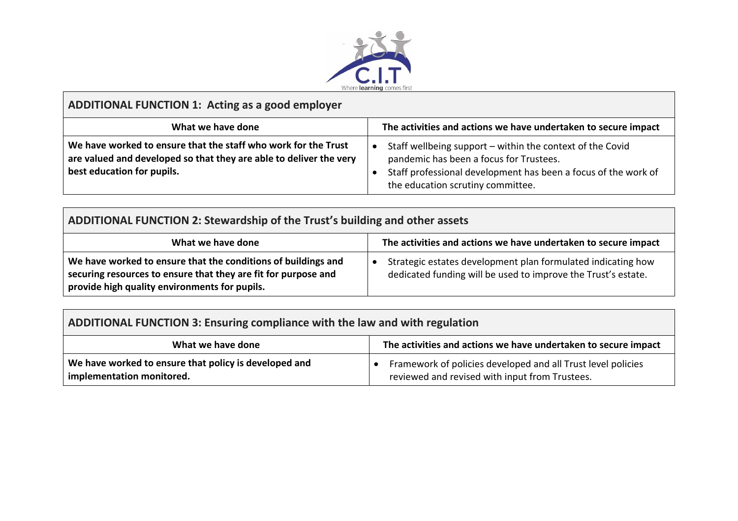

## **ADDITIONAL FUNCTION 1: Acting as a good employer**

| What we have done                                                                                                                                                  | The activities and actions we have undertaken to secure impact                                                                                                                                              |
|--------------------------------------------------------------------------------------------------------------------------------------------------------------------|-------------------------------------------------------------------------------------------------------------------------------------------------------------------------------------------------------------|
| We have worked to ensure that the staff who work for the Trust<br>are valued and developed so that they are able to deliver the very<br>best education for pupils. | Staff wellbeing support - within the context of the Covid<br>pandemic has been a focus for Trustees.<br>Staff professional development has been a focus of the work of<br>the education scrutiny committee. |

## **ADDITIONAL FUNCTION 2: Stewardship of the Trust's building and other assets**

| What we have done                                                                                                                                                                | The activities and actions we have undertaken to secure impact                                                                |
|----------------------------------------------------------------------------------------------------------------------------------------------------------------------------------|-------------------------------------------------------------------------------------------------------------------------------|
| We have worked to ensure that the conditions of buildings and<br>securing resources to ensure that they are fit for purpose and<br>provide high quality environments for pupils. | Strategic estates development plan formulated indicating how<br>dedicated funding will be used to improve the Trust's estate. |

| ADDITIONAL FUNCTION 3: Ensuring compliance with the law and with regulation        |                                                                                                                |
|------------------------------------------------------------------------------------|----------------------------------------------------------------------------------------------------------------|
| What we have done                                                                  | The activities and actions we have undertaken to secure impact                                                 |
| We have worked to ensure that policy is developed and<br>implementation monitored. | Framework of policies developed and all Trust level policies<br>reviewed and revised with input from Trustees. |